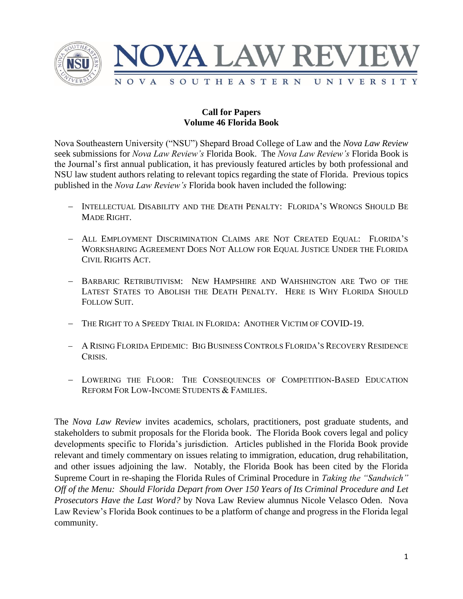

## **Call for Papers Volume 46 Florida Book**

Nova Southeastern University ("NSU") Shepard Broad College of Law and the *Nova Law Review* seek submissions for *Nova Law Review's* Florida Book. The *Nova Law Review's* Florida Book is the Journal's first annual publication, it has previously featured articles by both professional and NSU law student authors relating to relevant topics regarding the state of Florida. Previous topics published in the *Nova Law Review's* Florida book haven included the following:

- − INTELLECTUAL DISABILITY AND THE DEATH PENALTY: FLORIDA'S WRONGS SHOULD BE MADE RIGHT.
- − ALL EMPLOYMENT DISCRIMINATION CLAIMS ARE NOT CREATED EQUAL: FLORIDA'S WORKSHARING AGREEMENT DOES NOT ALLOW FOR EQUAL JUSTICE UNDER THE FLORIDA CIVIL RIGHTS ACT.
- − BARBARIC RETRIBUTIVISM: NEW HAMPSHIRE AND WAHSHINGTON ARE TWO OF THE LATEST STATES TO ABOLISH THE DEATH PENALTY. HERE IS WHY FLORIDA SHOULD FOLLOW SUIT.
- − THE RIGHT TO A SPEEDY TRIAL IN FLORIDA: ANOTHER VICTIM OF COVID-19.
- − A RISING FLORIDA EPIDEMIC: BIG BUSINESS CONTROLS FLORIDA'S RECOVERY RESIDENCE CRISIS.
- − LOWERING THE FLOOR: THE CONSEQUENCES OF COMPETITION-BASED EDUCATION REFORM FOR LOW-INCOME STUDENTS & FAMILIES.

The *Nova Law Review* invites academics, scholars, practitioners, post graduate students, and stakeholders to submit proposals for the Florida book. The Florida Book covers legal and policy developments specific to Florida's jurisdiction. Articles published in the Florida Book provide relevant and timely commentary on issues relating to immigration, education, drug rehabilitation, and other issues adjoining the law. Notably, the Florida Book has been cited by the Florida Supreme Court in re-shaping the Florida Rules of Criminal Procedure in *Taking the "Sandwich" Off of the Menu: Should Florida Depart from Over 150 Years of Its Criminal Procedure and Let Prosecutors Have the Last Word?* by Nova Law Review alumnus Nicole Velasco Oden. Nova Law Review's Florida Book continues to be a platform of change and progress in the Florida legal community.